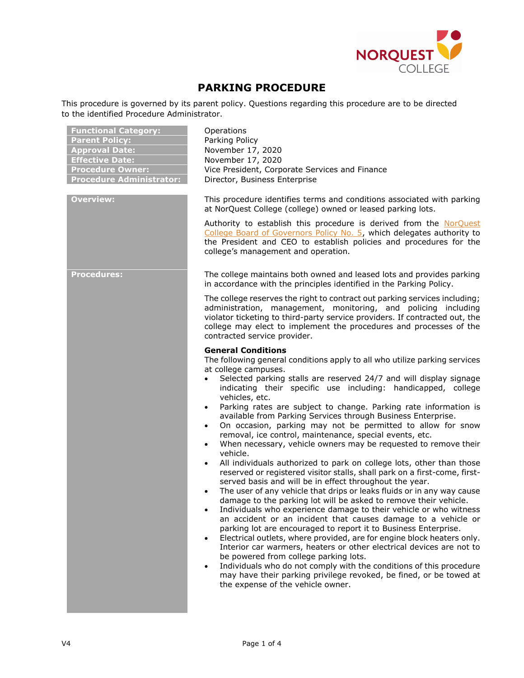

# **PARKING PROCEDURE**

This procedure is governed by its parent policy. Questions regarding this procedure are to be directed to the identified Procedure Administrator.

| <b>Functional Category:</b><br><b>Parent Policy:</b><br><b>Approval Date:</b><br><b>Effective Date:</b><br><b>Procedure Owner:</b><br><b>Procedure Administrator:</b><br><b>Overview:</b> | Operations<br>Parking Policy<br>November 17, 2020<br>November 17, 2020<br>Vice President, Corporate Services and Finance<br>Director, Business Enterprise<br>This procedure identifies terms and conditions associated with parking<br>at NorQuest College (college) owned or leased parking lots.<br>Authority to establish this procedure is derived from the NorQuest<br>College Board of Governors Policy No. 5, which delegates authority to<br>the President and CEO to establish policies and procedures for the<br>college's management and operation.                                                                                                                                                                                                                                                                                                                                                                                                                                                                                                                                                                                                                                                                                                                                                                                                                                                                                                                                                                                                                                                                             |
|-------------------------------------------------------------------------------------------------------------------------------------------------------------------------------------------|--------------------------------------------------------------------------------------------------------------------------------------------------------------------------------------------------------------------------------------------------------------------------------------------------------------------------------------------------------------------------------------------------------------------------------------------------------------------------------------------------------------------------------------------------------------------------------------------------------------------------------------------------------------------------------------------------------------------------------------------------------------------------------------------------------------------------------------------------------------------------------------------------------------------------------------------------------------------------------------------------------------------------------------------------------------------------------------------------------------------------------------------------------------------------------------------------------------------------------------------------------------------------------------------------------------------------------------------------------------------------------------------------------------------------------------------------------------------------------------------------------------------------------------------------------------------------------------------------------------------------------------------|
| <b>Procedures:</b>                                                                                                                                                                        | The college maintains both owned and leased lots and provides parking<br>in accordance with the principles identified in the Parking Policy.<br>The college reserves the right to contract out parking services including;<br>administration, management, monitoring, and policing including<br>violator ticketing to third-party service providers. If contracted out, the<br>college may elect to implement the procedures and processes of the<br>contracted service provider.<br><b>General Conditions</b>                                                                                                                                                                                                                                                                                                                                                                                                                                                                                                                                                                                                                                                                                                                                                                                                                                                                                                                                                                                                                                                                                                                             |
|                                                                                                                                                                                           | The following general conditions apply to all who utilize parking services<br>at college campuses.<br>Selected parking stalls are reserved 24/7 and will display signage<br>indicating their specific use including: handicapped, college<br>vehicles, etc.<br>Parking rates are subject to change. Parking rate information is<br>$\bullet$<br>available from Parking Services through Business Enterprise.<br>On occasion, parking may not be permitted to allow for snow<br>$\bullet$<br>removal, ice control, maintenance, special events, etc.<br>When necessary, vehicle owners may be requested to remove their<br>$\bullet$<br>vehicle.<br>All individuals authorized to park on college lots, other than those<br>$\bullet$<br>reserved or registered visitor stalls, shall park on a first-come, first-<br>served basis and will be in effect throughout the year.<br>The user of any vehicle that drips or leaks fluids or in any way cause<br>damage to the parking lot will be asked to remove their vehicle.<br>Individuals who experience damage to their vehicle or who witness<br>$\bullet$<br>an accident or an incident that causes damage to a vehicle or<br>parking lot are encouraged to report it to Business Enterprise.<br>Electrical outlets, where provided, are for engine block heaters only.<br>Interior car warmers, heaters or other electrical devices are not to<br>be powered from college parking lots.<br>Individuals who do not comply with the conditions of this procedure<br>$\bullet$<br>may have their parking privilege revoked, be fined, or be towed at<br>the expense of the vehicle owner. |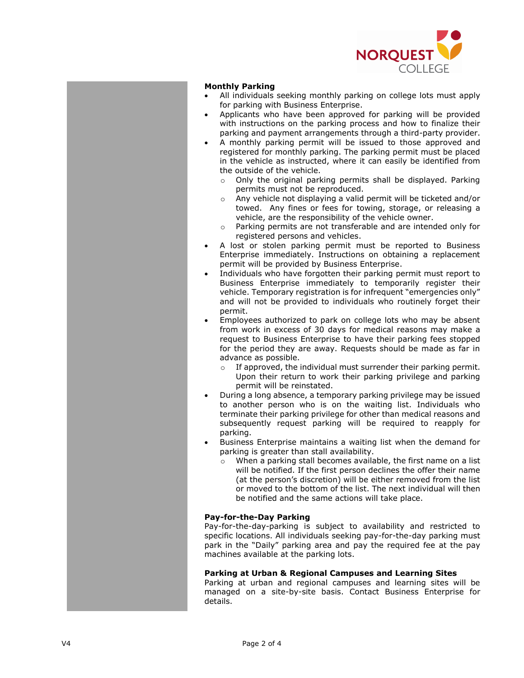

### **Monthly Parking**

- All individuals seeking monthly parking on college lots must apply for parking with Business Enterprise.
- Applicants who have been approved for parking will be provided with instructions on the parking process and how to finalize their parking and payment arrangements through a third -party provider.
- A monthly parking permit will be issued to those approved and registered for monthly parking. The parking permit must be placed in the vehicle as instructed, where it can easily be identified from the outside of the vehicle.
	- o Only the original parking permits shall be displayed. Parking permits must not be reproduced.
	- o Any vehicle not displaying a valid permit will be ticketed and/or towed. Any fines or fees for towing, storage , or releasing a vehicle, are the responsibility of the vehicle owner.
	- o Parking permits are not transferable and are intended only for registered persons and vehicles.
- A lost or stolen parking permit must be reported to Business Enterprise immediately. Instructions on obtaining a replacement permit will be provided by Business Enterprise.
- Individuals who have forgotten their parking permit must report to Business Enterprise immediately to temporarily register their vehicle. Temporary registration is for infrequent "emergencies only" and will not be provided to individuals who routinely forget their permit.
- Employees authorized to park on college lots who may be absent from work in excess of 30 days for medical reasons may make a request to Business Enterprise to have their parking fees stopped for the period they are away. Requests should be made as far in advance as possible.
	- o If approved, the individual must surrender their parking permit. Upon their return to work their parking privilege and parking permit will be reinstated.
- During a long absence, a temporary parking privilege may be issued to another person who is on the waiting list. Individuals who terminate their parking privilege for other than medical reasons and subsequently request parking will be required to reapply for parking.
- Business Enterprise maintains a waiting list when the demand for parking is greater than stall availability.
	- o When a parking stall becomes available, the first name on a list will be notified. If the first person declines the offer their name (at the person's discretion) will be either removed from the list or moved to the bottom of the list. The next individual will then be notified and the same actions will take place.

#### **Pay -for -the -Day Parking**

Pay-for-the-day-parking is subject to availability and restricted to specific locations. All individuals seeking pay -for -the -day parking must park in the "Daily" parking area and pay the required fee at the pay machines available at the parking lots.

#### **Parking at Urban & Regional Campuses and Learning Sites**

Parking at urban and regional campuses and learning sites will be managed on a site -by -site basis. Contact Business Enterprise for details.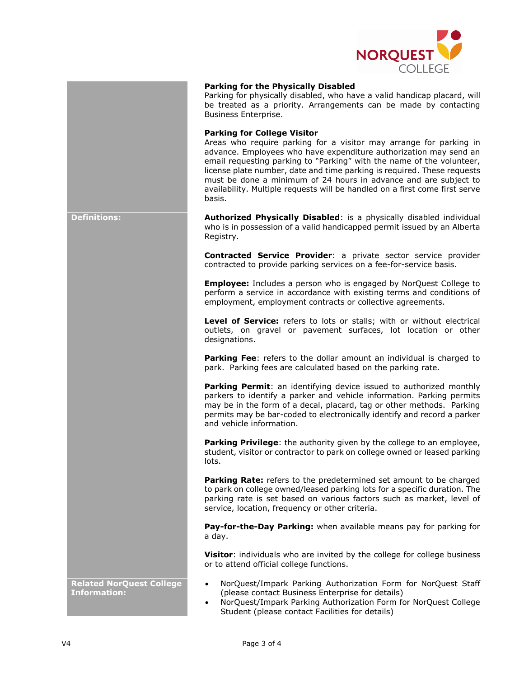

## **Parking for the Physically Disabled**

Parking for physically disabled, who have a valid handicap placard, will be treated as a priority. Arrangements can be made by contacting Business Enterprise.

#### **Parking for College Visitor**

Areas who require parking for a visitor may arrange for parking in advance. Employees who have expenditure authorization may send an email requesting parking to "Parking" with the name of the volunteer, license plate number, date and time parking is required. These requests must be done a minimum of 24 hours in advance and are subject to availability. Multiple requests will be handled on a first come first serve basis.

**Definitions: Authorized Physically Disabled**: is a physically disabled individual who is in possession of a valid handicapped permit issued by an Alberta Registry.

> **Contracted Service Provider**: a private sector service provider contracted to provide parking services on a fee-for-service basis.

> **Employee:** Includes a person who is engaged by NorQuest College to perform a service in accordance with existing terms and conditions of employment, employment contracts or collective agreements.

> **Level of Service:** refers to lots or stalls; with or without electrical outlets, on gravel or pavement surfaces, lot location or other designations.

> **Parking Fee**: refers to the dollar amount an individual is charged to park. Parking fees are calculated based on the parking rate.

> **Parking Permit:** an identifying device issued to authorized monthly parkers to identify a parker and vehicle information. Parking permits may be in the form of a decal, placard, tag or other methods. Parking permits may be bar-coded to electronically identify and record a parker and vehicle information.

> **Parking Privilege**: the authority given by the college to an employee, student, visitor or contractor to park on college owned or leased parking lots.

> **Parking Rate:** refers to the predetermined set amount to be charged to park on college owned/leased parking lots for a specific duration. The parking rate is set based on various factors such as market, level of service, location, frequency or other criteria.

> **Pay-for-the-Day Parking:** when available means pay for parking for a day.

> **Visitor:** individuals who are invited by the college for college business or to attend official college functions.

- NorQuest/Impark Parking Authorization Form for NorQuest Staff (please contact Business Enterprise for details)
- NorQuest/Impark Parking Authorization Form for NorQuest College Student (please contact Facilities for details)

**Related NorQuest College Information:**